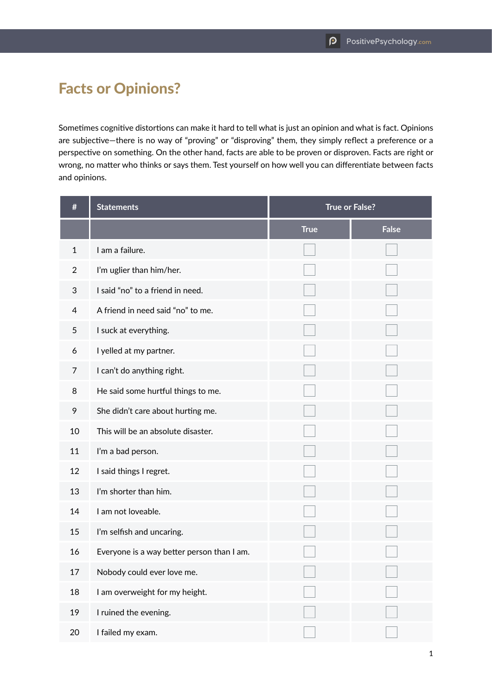## Facts or Opinions?

Sometimes cognitive distortions can make it hard to tell what is just an opinion and what is fact. Opinions are subjective—there is no way of "proving" or "disproving" them, they simply reflect a preference or a perspective on something. On the other hand, facts are able to be proven or disproven. Facts are right or wrong, no matter who thinks or says them. Test yourself on how well you can differentiate between facts and opinions.

| #              | <b>Statements</b>                          | <b>True or False?</b> |              |
|----------------|--------------------------------------------|-----------------------|--------------|
|                |                                            | <b>True</b>           | <b>False</b> |
| $\mathbf{1}$   | I am a failure.                            |                       |              |
| $\overline{2}$ | I'm uglier than him/her.                   |                       |              |
| 3              | I said "no" to a friend in need.           |                       |              |
| 4              | A friend in need said "no" to me.          |                       |              |
| 5              | I suck at everything.                      |                       |              |
| 6              | I yelled at my partner.                    |                       |              |
| 7              | I can't do anything right.                 |                       |              |
| 8              | He said some hurtful things to me.         |                       |              |
| 9              | She didn't care about hurting me.          |                       |              |
| 10             | This will be an absolute disaster.         |                       |              |
| 11             | I'm a bad person.                          |                       |              |
| 12             | I said things I regret.                    |                       |              |
| 13             | I'm shorter than him.                      |                       |              |
| 14             | I am not loveable.                         |                       |              |
| 15             | I'm selfish and uncaring.                  |                       |              |
| 16             | Everyone is a way better person than I am. |                       |              |
| 17             | Nobody could ever love me.                 |                       |              |
| 18             | I am overweight for my height.             |                       |              |
| 19             | I ruined the evening.                      |                       |              |
| 20             | I failed my exam.                          |                       |              |